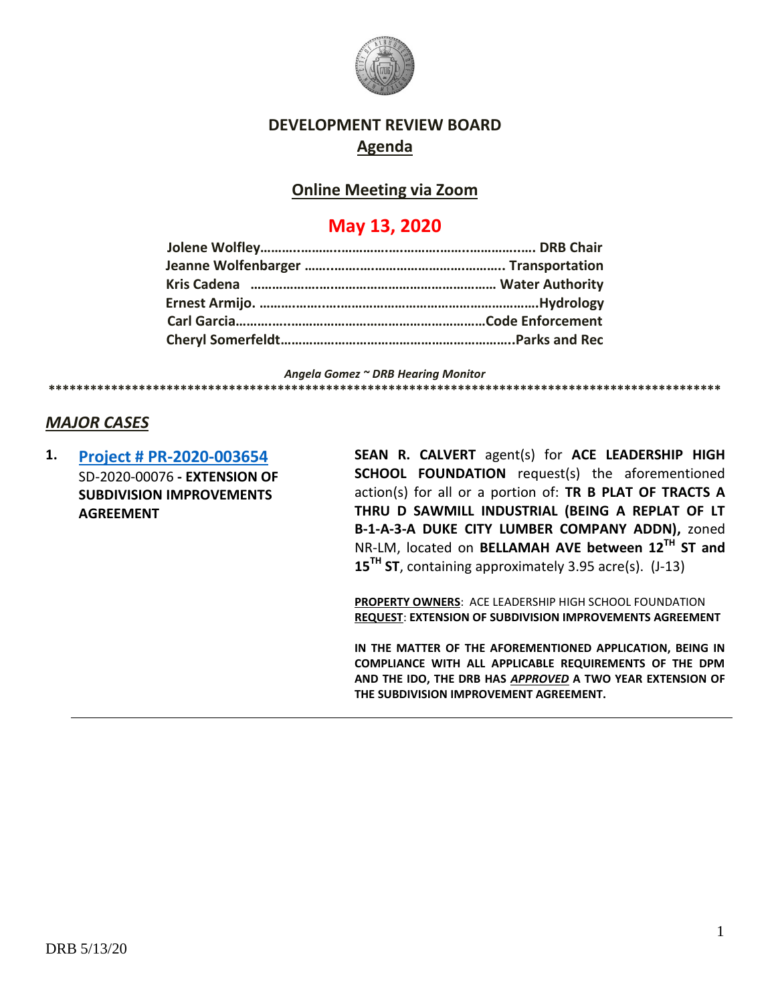

## **DEVELOPMENT REVIEW BOARD Agenda**

### **Online Meeting via Zoom**

# **May 13, 2020**

*Angela Gomez ~ DRB Hearing Monitor*

**\*\*\*\*\*\*\*\*\*\*\*\*\*\*\*\*\*\*\*\*\*\*\*\*\*\*\*\*\*\*\*\*\*\*\*\*\*\*\*\*\*\*\*\*\*\*\*\*\*\*\*\*\*\*\*\*\*\*\*\*\*\*\*\*\*\*\*\*\*\*\*\*\*\*\*\*\*\*\*\*\*\*\*\*\*\*\*\*\*\*\*\*\*\*\*\*\***

## *MAJOR CASES*

**1. [Project # PR-2020-003654](http://data.cabq.gov/government/planning/DRB/PR-2020-003654/DRB%20Submittals/PR-2020-003654_May_13_2020/Application/ACE%20Leadership%20DRB%20Application%20-%204-16-20.pdf)** SD-2020-00076 **- EXTENSION OF SUBDIVISION IMPROVEMENTS AGREEMENT**

**SEAN R. CALVERT** agent(s) for **ACE LEADERSHIP HIGH SCHOOL FOUNDATION** request(s) the aforementioned action(s) for all or a portion of: **TR B PLAT OF TRACTS A THRU D SAWMILL INDUSTRIAL (BEING A REPLAT OF LT B-1-A-3-A DUKE CITY LUMBER COMPANY ADDN),** zoned NR-LM, located on **BELLAMAH AVE between 12TH ST and 15TH ST**, containing approximately 3.95 acre(s). (J-13)

**PROPERTY OWNERS**: ACE LEADERSHIP HIGH SCHOOL FOUNDATION **REQUEST**: **EXTENSION OF SUBDIVISION IMPROVEMENTS AGREEMENT**

**IN THE MATTER OF THE AFOREMENTIONED APPLICATION, BEING IN COMPLIANCE WITH ALL APPLICABLE REQUIREMENTS OF THE DPM AND THE IDO, THE DRB HAS** *APPROVED* **A TWO YEAR EXTENSION OF THE SUBDIVISION IMPROVEMENT AGREEMENT.**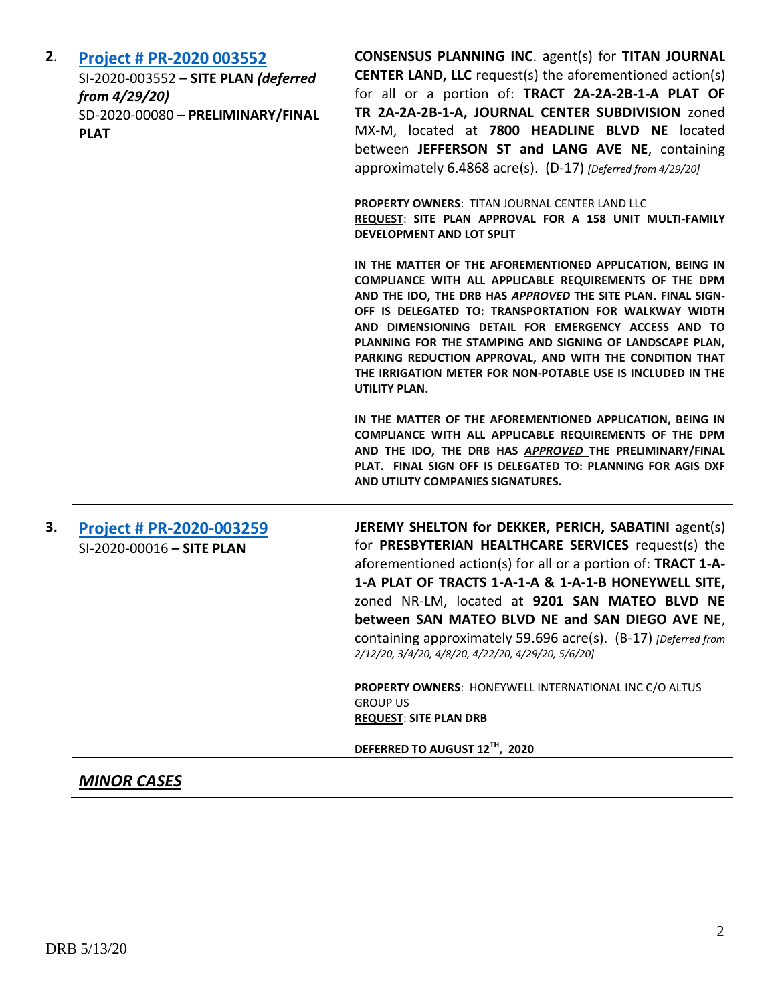| 2. | Project # PR-2020 003552             | <b>CONSENSUS PLANNING INC. agent(s) for TITAN JOURNAL</b>                                                                                                                                                                                                                                                                                                                                                                                                                                 |
|----|--------------------------------------|-------------------------------------------------------------------------------------------------------------------------------------------------------------------------------------------------------------------------------------------------------------------------------------------------------------------------------------------------------------------------------------------------------------------------------------------------------------------------------------------|
|    | SI-2020-003552 - SITE PLAN (deferred | <b>CENTER LAND, LLC</b> request(s) the aforementioned action(s)                                                                                                                                                                                                                                                                                                                                                                                                                           |
|    | from 4/29/20)                        | for all or a portion of: TRACT 2A-2A-2B-1-A PLAT OF                                                                                                                                                                                                                                                                                                                                                                                                                                       |
|    | SD-2020-00080 - PRELIMINARY/FINAL    | TR 2A-2A-2B-1-A, JOURNAL CENTER SUBDIVISION zoned                                                                                                                                                                                                                                                                                                                                                                                                                                         |
|    | <b>PLAT</b>                          | MX-M, located at 7800 HEADLINE BLVD NE located                                                                                                                                                                                                                                                                                                                                                                                                                                            |
|    |                                      | between JEFFERSON ST and LANG AVE NE, containing                                                                                                                                                                                                                                                                                                                                                                                                                                          |
|    |                                      | approximately 6.4868 acre(s). (D-17) [Deferred from 4/29/20]                                                                                                                                                                                                                                                                                                                                                                                                                              |
|    |                                      | <b>PROPERTY OWNERS: TITAN JOURNAL CENTER LAND LLC</b><br>REQUEST: SITE PLAN APPROVAL FOR A 158 UNIT MULTI-FAMILY                                                                                                                                                                                                                                                                                                                                                                          |
|    |                                      | DEVELOPMENT AND LOT SPLIT                                                                                                                                                                                                                                                                                                                                                                                                                                                                 |
|    |                                      | IN THE MATTER OF THE AFOREMENTIONED APPLICATION, BEING IN<br>COMPLIANCE WITH ALL APPLICABLE REQUIREMENTS OF THE DPM<br>AND THE IDO, THE DRB HAS APPROVED THE SITE PLAN. FINAL SIGN-<br>OFF IS DELEGATED TO: TRANSPORTATION FOR WALKWAY WIDTH<br>AND DIMENSIONING DETAIL FOR EMERGENCY ACCESS AND TO<br>PLANNING FOR THE STAMPING AND SIGNING OF LANDSCAPE PLAN,<br>PARKING REDUCTION APPROVAL, AND WITH THE CONDITION THAT<br>THE IRRIGATION METER FOR NON-POTABLE USE IS INCLUDED IN THE |
|    |                                      | UTILITY PLAN.<br>IN THE MATTER OF THE AFOREMENTIONED APPLICATION, BEING IN                                                                                                                                                                                                                                                                                                                                                                                                                |
|    |                                      | COMPLIANCE WITH ALL APPLICABLE REQUIREMENTS OF THE DPM                                                                                                                                                                                                                                                                                                                                                                                                                                    |
|    |                                      | AND THE IDO, THE DRB HAS APPROVED THE PRELIMINARY/FINAL                                                                                                                                                                                                                                                                                                                                                                                                                                   |
|    |                                      | PLAT. FINAL SIGN OFF IS DELEGATED TO: PLANNING FOR AGIS DXF                                                                                                                                                                                                                                                                                                                                                                                                                               |
|    |                                      | AND UTILITY COMPANIES SIGNATURES.                                                                                                                                                                                                                                                                                                                                                                                                                                                         |

**3. [Project # PR-2020-003259](http://data.cabq.gov/government/planning/DRB/PR-2020-003259/DRB%20Submittals/PR-2020-003259_Feb_12_2020/Application/)** SI-2020-00016 **– SITE PLAN**

**JEREMY SHELTON for DEKKER, PERICH, SABATINI** agent(s) for **PRESBYTERIAN HEALTHCARE SERVICES** request(s) the aforementioned action(s) for all or a portion of: **TRACT 1-A-1-A PLAT OF TRACTS 1-A-1-A & 1-A-1-B HONEYWELL SITE,** zoned NR-LM, located at **9201 SAN MATEO BLVD NE between SAN MATEO BLVD NE and SAN DIEGO AVE NE**, containing approximately 59.696 acre(s). (B-17) *[Deferred from 2/12/20, 3/4/20, 4/8/20, 4/22/20, 4/29/20, 5/6/20]*

**PROPERTY OWNERS**: HONEYWELL INTERNATIONAL INC C/O ALTUS GROUP US **REQUEST**: **SITE PLAN DRB**

**DEFERRED TO AUGUST 12TH, 2020**

#### *MINOR CASES*